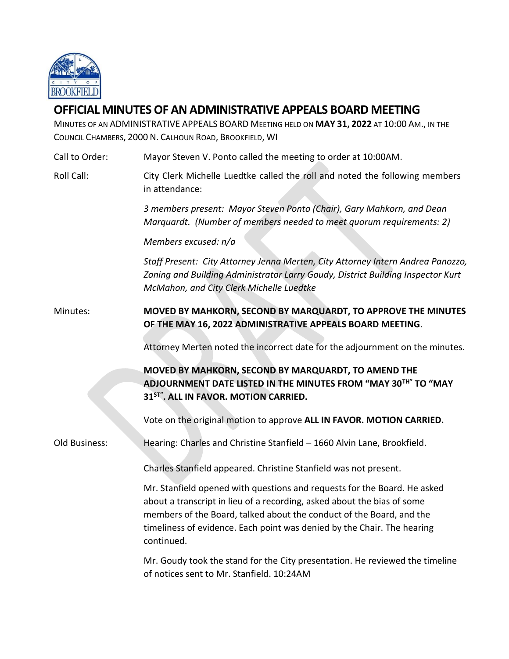

## **OFFICIAL MINUTES OF AN ADMINISTRATIVE APPEALS BOARD MEETING**

MINUTES OF AN ADMINISTRATIVE APPEALS BOARD MEETING HELD ON **MAY 31, 2022** AT 10:00 AM., IN THE COUNCIL CHAMBERS, 2000 N. CALHOUN ROAD, BROOKFIELD, WI

Call to Order: Mayor Steven V. Ponto called the meeting to order at 10:00AM. Roll Call: City Clerk Michelle Luedtke called the roll and noted the following members in attendance: *3 members present: Mayor Steven Ponto (Chair), Gary Mahkorn, and Dean Marquardt. (Number of members needed to meet quorum requirements: 2) Members excused: n/a Staff Present: City Attorney Jenna Merten, City Attorney Intern Andrea Panozzo, Zoning and Building Administrator Larry Goudy, District Building Inspector Kurt* 

Minutes: **MOVED BY MAHKORN, SECOND BY MARQUARDT, TO APPROVE THE MINUTES OF THE MAY 16, 2022 ADMINISTRATIVE APPEALS BOARD MEETING**.

*McMahon, and City Clerk Michelle Luedtke*

Attorney Merten noted the incorrect date for the adjournment on the minutes.

**MOVED BY MAHKORN, SECOND BY MARQUARDT, TO AMEND THE ADJOURNMENT DATE LISTED IN THE MINUTES FROM "MAY 30TH" TO "MAY 31ST". ALL IN FAVOR. MOTION CARRIED.** 

Vote on the original motion to approve **ALL IN FAVOR. MOTION CARRIED.**

Old Business: Hearing: Charles and Christine Stanfield – 1660 Alvin Lane, Brookfield.

Charles Stanfield appeared. Christine Stanfield was not present.

Mr. Stanfield opened with questions and requests for the Board. He asked about a transcript in lieu of a recording, asked about the bias of some members of the Board, talked about the conduct of the Board, and the timeliness of evidence. Each point was denied by the Chair. The hearing continued.

Mr. Goudy took the stand for the City presentation. He reviewed the timeline of notices sent to Mr. Stanfield. 10:24AM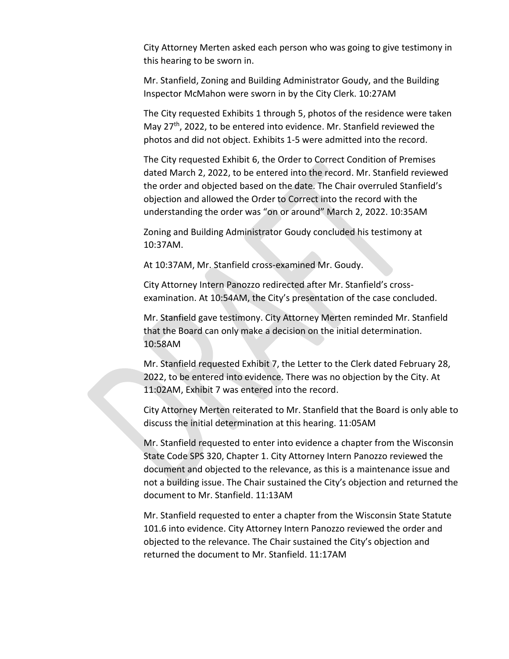City Attorney Merten asked each person who was going to give testimony in this hearing to be sworn in.

Mr. Stanfield, Zoning and Building Administrator Goudy, and the Building Inspector McMahon were sworn in by the City Clerk. 10:27AM

The City requested Exhibits 1 through 5, photos of the residence were taken May 27<sup>th</sup>, 2022, to be entered into evidence. Mr. Stanfield reviewed the photos and did not object. Exhibits 1-5 were admitted into the record.

The City requested Exhibit 6, the Order to Correct Condition of Premises dated March 2, 2022, to be entered into the record. Mr. Stanfield reviewed the order and objected based on the date. The Chair overruled Stanfield's objection and allowed the Order to Correct into the record with the understanding the order was "on or around" March 2, 2022. 10:35AM

Zoning and Building Administrator Goudy concluded his testimony at 10:37AM.

At 10:37AM, Mr. Stanfield cross-examined Mr. Goudy.

City Attorney Intern Panozzo redirected after Mr. Stanfield's crossexamination. At 10:54AM, the City's presentation of the case concluded.

Mr. Stanfield gave testimony. City Attorney Merten reminded Mr. Stanfield that the Board can only make a decision on the initial determination. 10:58AM

Mr. Stanfield requested Exhibit 7, the Letter to the Clerk dated February 28, 2022, to be entered into evidence. There was no objection by the City. At 11:02AM, Exhibit 7 was entered into the record.

City Attorney Merten reiterated to Mr. Stanfield that the Board is only able to discuss the initial determination at this hearing. 11:05AM

Mr. Stanfield requested to enter into evidence a chapter from the Wisconsin State Code SPS 320, Chapter 1. City Attorney Intern Panozzo reviewed the document and objected to the relevance, as this is a maintenance issue and not a building issue. The Chair sustained the City's objection and returned the document to Mr. Stanfield. 11:13AM

Mr. Stanfield requested to enter a chapter from the Wisconsin State Statute 101.6 into evidence. City Attorney Intern Panozzo reviewed the order and objected to the relevance. The Chair sustained the City's objection and returned the document to Mr. Stanfield. 11:17AM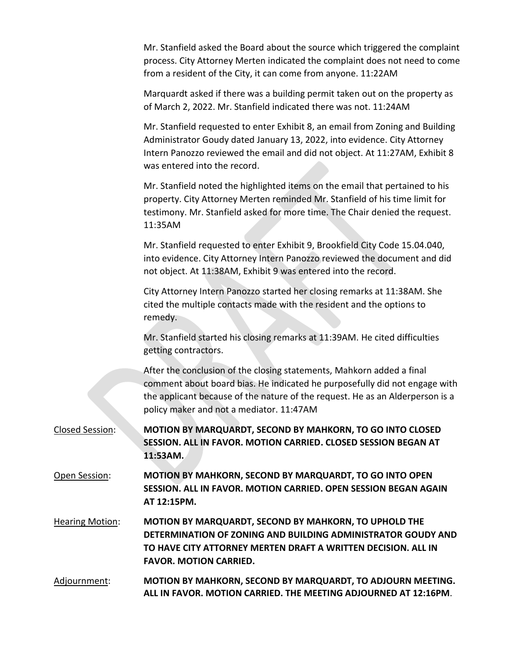Mr. Stanfield asked the Board about the source which triggered the complaint process. City Attorney Merten indicated the complaint does not need to come from a resident of the City, it can come from anyone. 11:22AM

Marquardt asked if there was a building permit taken out on the property as of March 2, 2022. Mr. Stanfield indicated there was not. 11:24AM

Mr. Stanfield requested to enter Exhibit 8, an email from Zoning and Building Administrator Goudy dated January 13, 2022, into evidence. City Attorney Intern Panozzo reviewed the email and did not object. At 11:27AM, Exhibit 8 was entered into the record.

Mr. Stanfield noted the highlighted items on the email that pertained to his property. City Attorney Merten reminded Mr. Stanfield of his time limit for testimony. Mr. Stanfield asked for more time. The Chair denied the request. 11:35AM

Mr. Stanfield requested to enter Exhibit 9, Brookfield City Code 15.04.040, into evidence. City Attorney Intern Panozzo reviewed the document and did not object. At 11:38AM, Exhibit 9 was entered into the record.

City Attorney Intern Panozzo started her closing remarks at 11:38AM. She cited the multiple contacts made with the resident and the options to remedy.

Mr. Stanfield started his closing remarks at 11:39AM. He cited difficulties getting contractors.

After the conclusion of the closing statements, Mahkorn added a final comment about board bias. He indicated he purposefully did not engage with the applicant because of the nature of the request. He as an Alderperson is a policy maker and not a mediator. 11:47AM

Closed Session: **MOTION BY MARQUARDT, SECOND BY MAHKORN, TO GO INTO CLOSED SESSION. ALL IN FAVOR. MOTION CARRIED. CLOSED SESSION BEGAN AT 11:53AM.**

Open Session: **MOTION BY MAHKORN, SECOND BY MARQUARDT, TO GO INTO OPEN SESSION. ALL IN FAVOR. MOTION CARRIED. OPEN SESSION BEGAN AGAIN AT 12:15PM.**

Hearing Motion: **MOTION BY MARQUARDT, SECOND BY MAHKORN, TO UPHOLD THE DETERMINATION OF ZONING AND BUILDING ADMINISTRATOR GOUDY AND TO HAVE CITY ATTORNEY MERTEN DRAFT A WRITTEN DECISION. ALL IN FAVOR. MOTION CARRIED.**

Adjournment: **MOTION BY MAHKORN, SECOND BY MARQUARDT, TO ADJOURN MEETING. ALL IN FAVOR. MOTION CARRIED. THE MEETING ADJOURNED AT 12:16PM**.